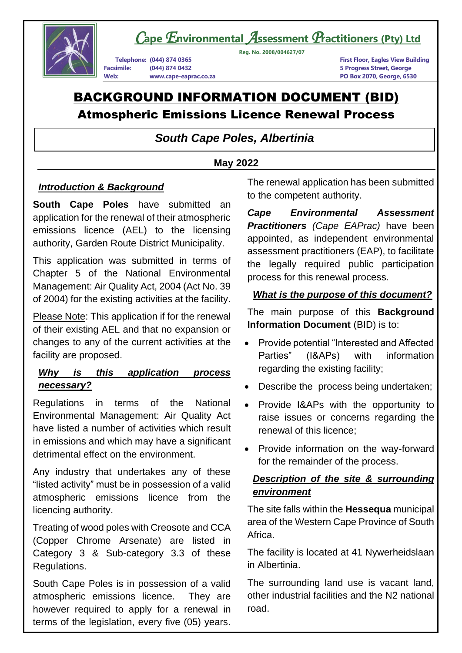

*C***ape***E***nvironmental** *A***ssessment** *P***ractitioners (Pty) Ltd**

**Telephone: (044) 874 0365 First Floor, Eagles View Building Facsimile: (044) 874 0432 5 Progress Street, George**

**Reg. No. 2008/004627/07**

**Web: www.cape-eaprac.co.za PO Box 2070, George, 6530**

# BACKGROUND INFORMATION DOCUMENT (BID) Atmospheric Emissions Licence Renewal Process

## *South Cape Poles, Albertinia*

#### **May 2022**

#### *Introduction & Background*

**South Cape Poles** have submitted an application for the renewal of their atmospheric emissions licence (AEL) to the licensing authority, Garden Route District Municipality.

This application was submitted in terms of Chapter 5 of the National Environmental Management: Air Quality Act, 2004 (Act No. 39 of 2004) for the existing activities at the facility.

Please Note: This application if for the renewal of their existing AEL and that no expansion or changes to any of the current activities at the facility are proposed.

## *Why is this application process necessary?*

Regulations in terms of the National Environmental Management: Air Quality Act have listed a number of activities which result in emissions and which may have a significant detrimental effect on the environment.

Any industry that undertakes any of these "listed activity" must be in possession of a valid atmospheric emissions licence from the licencing authority.

Treating of wood poles with Creosote and CCA (Copper Chrome Arsenate) are listed in Category 3 & Sub-category 3.3 of these Regulations.

South Cape Poles is in possession of a valid atmospheric emissions licence. They are however required to apply for a renewal in terms of the legislation, every five (05) years.

The renewal application has been submitted to the competent authority.

*Cape Environmental Assessment Practitioners (Cape EAPrac)* have been appointed, as independent environmental assessment practitioners (EAP), to facilitate the legally required public participation process for this renewal process.

#### *What is the purpose of this document?*

The main purpose of this **Background Information Document** (BID) is to:

- Provide potential "Interested and Affected Parties" (I&APs) with information regarding the existing facility;
- Describe the process being undertaken;
- Provide I&APs with the opportunity to raise issues or concerns regarding the renewal of this licence;
- Provide information on the way-forward for the remainder of the process.

## *Description of the site & surrounding environment*

The site falls within the **Hessequa** municipal area of the Western Cape Province of South Africa.

The facility is located at 41 Nywerheidslaan in Albertinia.

The surrounding land use is vacant land, other industrial facilities and the N2 national road.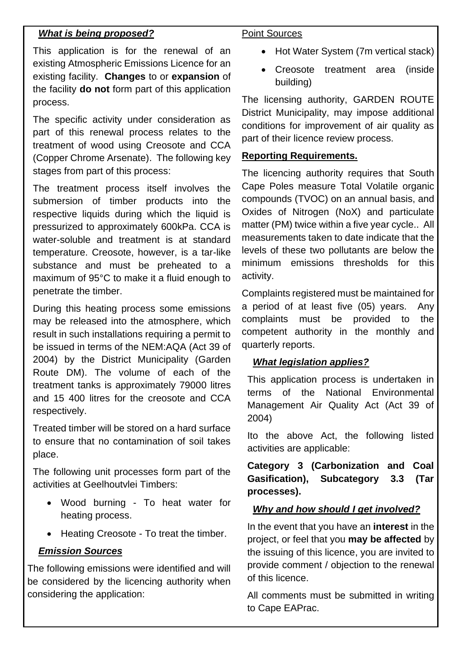#### *What is being proposed?*

This application is for the renewal of an existing Atmospheric Emissions Licence for an existing facility. **Changes** to or **expansion** of the facility **do not** form part of this application process.

The specific activity under consideration as part of this renewal process relates to the treatment of wood using Creosote and CCA (Copper Chrome Arsenate). The following key stages from part of this process:

The treatment process itself involves the submersion of timber products into the respective liquids during which the liquid is pressurized to approximately 600kPa. CCA is water-soluble and treatment is at standard temperature. Creosote, however, is a tar-like substance and must be preheated to a maximum of 95°C to make it a fluid enough to penetrate the timber.

During this heating process some emissions may be released into the atmosphere, which result in such installations requiring a permit to be issued in terms of the NEM:AQA (Act 39 of 2004) by the District Municipality (Garden Route DM). The volume of each of the treatment tanks is approximately 79000 litres and 15 400 litres for the creosote and CCA respectively.

Treated timber will be stored on a hard surface to ensure that no contamination of soil takes place.

The following unit processes form part of the activities at Geelhoutvlei Timbers:

- Wood burning To heat water for heating process.
- Heating Creosote To treat the timber.

## *Emission Sources*

The following emissions were identified and will be considered by the licencing authority when considering the application:

#### Point Sources

- Hot Water System (7m vertical stack)
- Creosote treatment area (inside building)

The licensing authority, GARDEN ROUTE District Municipality, may impose additional conditions for improvement of air quality as part of their licence review process.

#### **Reporting Requirements.**

The licencing authority requires that South Cape Poles measure Total Volatile organic compounds (TVOC) on an annual basis, and Oxides of Nitrogen (NoX) and particulate matter (PM) twice within a five year cycle.. All measurements taken to date indicate that the levels of these two pollutants are below the minimum emissions thresholds for this activity.

Complaints registered must be maintained for a period of at least five (05) years. Any complaints must be provided to the competent authority in the monthly and quarterly reports.

## *What legislation applies?*

This application process is undertaken in terms of the National Environmental Management Air Quality Act (Act 39 of 2004)

Ito the above Act, the following listed activities are applicable:

**Category 3 (Carbonization and Coal Gasification), Subcategory 3.3 (Tar processes).**

## *Why and how should I get involved?*

In the event that you have an **interest** in the project, or feel that you **may be affected** by the issuing of this licence, you are invited to provide comment / objection to the renewal of this licence.

All comments must be submitted in writing to Cape EAPrac.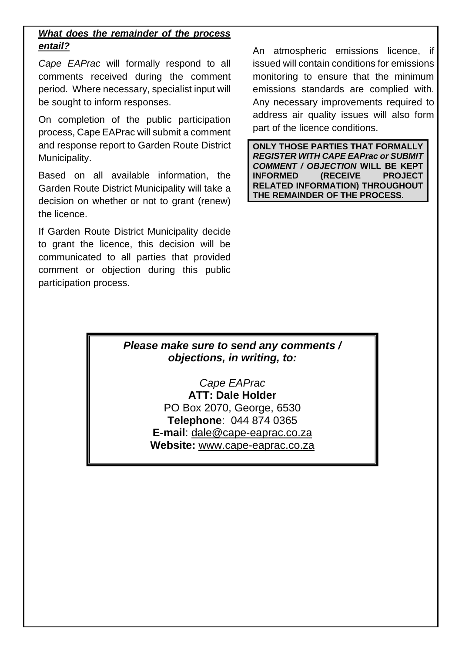## *What does the remainder of the process entail?*

*Cape EAPrac* will formally respond to all comments received during the comment period. Where necessary, specialist input will be sought to inform responses.

On completion of the public participation process, Cape EAPrac will submit a comment and response report to Garden Route District Municipality.

Based on all available information, the Garden Route District Municipality will take a decision on whether or not to grant (renew) the licence.

If Garden Route District Municipality decide to grant the licence, this decision will be communicated to all parties that provided comment or objection during this public participation process.

An atmospheric emissions licence, if issued will contain conditions for emissions monitoring to ensure that the minimum emissions standards are complied with. Any necessary improvements required to address air quality issues will also form part of the licence conditions.

**ONLY THOSE PARTIES THAT FORMALLY**  *REGISTER WITH CAPE EAPrac or SUBMIT COMMENT / OBJECTION* **WILL BE KEPT INFORMED (RECEIVE PROJECT RELATED INFORMATION) THROUGHOUT THE REMAINDER OF THE PROCESS.**

## *Please make sure to send any comments / objections, in writing, to:*

*Cape EAPrac* **ATT: Dale Holder** PO Box 2070, George, 6530 **Telephone**: 044 874 0365 **E-mail**: dale@cape-eaprac.co.za **Website:** [www.cape-eaprac.co.za](http://www.cape-eaprac.co.za/)